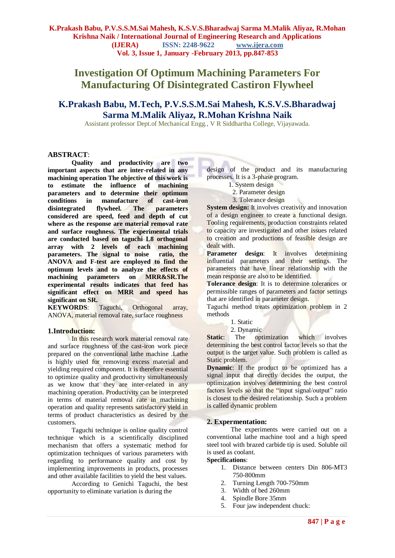# **Investigation Of Optimum Machining Parameters For Manufacturing Of Disintegrated Castiron Flywheel**

## **K.Prakash Babu, M.Tech, P.V.S.S.M.Sai Mahesh, K.S.V.S.Bharadwaj Sarma M.Malik Aliyaz, R.Mohan Krishna Naik**

Assistant professor Dept.of Mechanical Engg., V R Siddhartha College, Vijayawada.

#### **ABSTRACT**:

**Quality and productivity are two important aspects that are inter-related in any machining operation The objective of this work is to estimate the influence of machining parameters and to determine their optimum conditions in manufacture of cast-iron disintegrated flywheel. The parameters considered are speed, feed and depth of cut where as the response are material removal rate and surface roughness. The experimental trials are conducted based on taguchi L8 orthogonal array with 2 levels of each machining parameters.** The signal to noise **ANOVA and F-test are employed to find the optimum levels and to analyze the effects of machining parameters on MRR&SR.The experimental results indicates that feed has significant effect on MRR and speed has significant on SR.**

Taguchi, Orthogonal array, ANOVA, material removal rate, surface roughness

#### **1.Introduction:**

In this research work material removal rate and surface roughness of the cast-iron work piece prepared on the conventional lathe machine .Lathe is highly used for removing excess material and yielding required component. It is therefore essential to optimize quality and productivity simultaneously as we know that they are inter-related in any machining operation. Productivity can be interpreted in terms of material removal rate in machining operation and quality represents satisfactory yield in terms of product characteristics as desired by the customers.

Taguchi technique is online quality control technique which is a scientifically disciplined mechanism that offers a systematic method for optimization techniques of various parameters with regarding to performance quality and cost by implementing improvements in products, processes and other available facilities to yield the best values.

According to Genichi Taguchi, the best opportunity to eliminate variation is during the

design of the product and its manufacturing processes. It is a 3-phase program.

- 1. System design
- 2. Parameter design
- 3. Tolerance design

**System design:** It involves creativity and innovation of a design engineer to create a functional design. Tooling requirements, production constraints related to capacity are investigated and other issues related to creation and productions of feasible design are dealt with.

Parameter design: It involves determining influential parameters and their settings. The parameters that have linear relationship with the mean response are also to be identified.

**Tolerance design**: It is to determine tolerances or permissible ranges of parameters and factor settings that are identified in parameter design.

Taguchi method treats optimization problem in 2 methods

- 1. Static
	- 2. Dynamic

**Static:** The optimization which involves determining the best control factor levels so that the output is the target value. Such problem is called as Static problem.

**Dynamic**: If the product to be optimized has a signal input that directly decides the output, the optimization involves determining the best control factors levels so that the "input signal/output" ratio is closest to the desired relationship. Such a problem is called dynamic problem

#### **2. Expermentation:**

The experiments were carried out on a conventional lathe machine tool and a high speed steel tool with brazed carbide tip is used. Soluble oil is used as coolant.

#### **Specifications**:

- 1. Distance between centers Din 806-MT3 750-800mm
- 2. Turning Length 700-750mm
- 3. Width of bed 260mm
- 4. Spindle Bore 35mm
- 5. Four jaw independent chuck: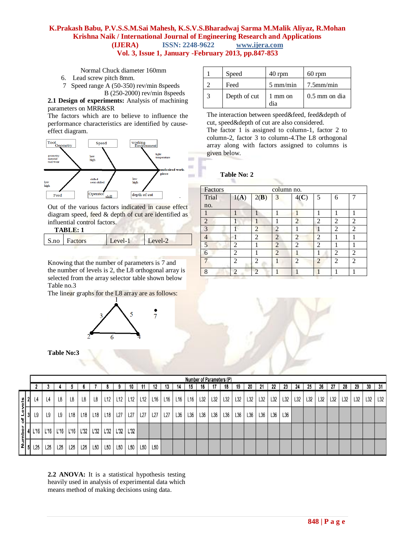Normal Chuck diameter 160mm

- 6. Lead screw pitch 8mm.
- 7 Speed range A (50-350) rev/min 8speeds B (250-2000) rev/min 8speeds

**2.1 Design of experiments:** Analysis of machining parameters on MRR&SR

The factors which are to believe to influence the performance characteristics are identified by causeeffect diagram.



Out of the various factors indicated in cause effect diagram speed, feed & depth of cut are identified as influential control factors.

| ABL. |  |
|------|--|
|------|--|

| S.no Factors<br>Level-1<br>PVALU2 |  |  |
|-----------------------------------|--|--|
|                                   |  |  |

Knowing that the number of parameters is 7 and the number of levels is 2, the L8 orthogonal array is selected from the array selector table shown below Table no.3

The linear graphs for the L8 array are as follows:



**Table No:3**

|   | Speed        | $40$ rpm           | $60$ rpm        |
|---|--------------|--------------------|-----------------|
|   | Feed         | $5 \text{ mm/min}$ | $7.5$ mm/min    |
| 3 | Depth of cut | 1 mm on<br>dia     | $0.5$ mm on dia |

The interaction between speed&feed, feed&depth of cut, speed&depth of cut are also considered. The factor 1 is assigned to column-1, factor 2 to column-2, factor 3 to column-4.The L8 orthogonal array along with factors assigned to columns is given below.

#### **Table No: 2**

| Factors        |                |                | column no.     |                |                |                             |                |
|----------------|----------------|----------------|----------------|----------------|----------------|-----------------------------|----------------|
| Trial          | 1(A)           | 2(B)           | 3              | 4(C)           | 5              | 6                           |                |
| no.            |                |                |                |                |                |                             |                |
|                |                |                |                |                |                |                             |                |
| $\overline{2}$ |                |                |                | $\overline{2}$ | 2              | 2                           | 2              |
| 3              |                | $\overline{c}$ | $\overline{2}$ |                |                | 2                           | 2              |
| 4              |                | $\overline{2}$ | $\overline{2}$ | $\overline{2}$ | $\overline{2}$ |                             |                |
| 5              | $\overline{2}$ |                | $\overline{2}$ | $\overline{2}$ | 2              |                             |                |
| 6              | 2              |                | $\overline{2}$ |                |                | 2                           | $\mathfrak{D}$ |
|                | $\mathfrak{D}$ | $\mathfrak{D}$ |                | $\mathfrak{D}$ | $\mathcal{D}$  | $\mathcal{D}_{\mathcal{A}}$ | っ              |
| 8              | 2              | ി              |                |                |                |                             |                |

|                                             |     |     |      |      |                 |      |      |      |      |                 |     |     |                 |     |     |     | Number of Parameters (P) |     |     |     |     |     |     |     |     |     |     |     |     |     |     |
|---------------------------------------------|-----|-----|------|------|-----------------|------|------|------|------|-----------------|-----|-----|-----------------|-----|-----|-----|--------------------------|-----|-----|-----|-----|-----|-----|-----|-----|-----|-----|-----|-----|-----|-----|
|                                             |     |     |      |      |                 |      |      |      |      | 10              |     |     | 13              | 14. | 15  | 16  |                          | 18  | 19  | 20  | 21  |     | 23  | 24  | 25  | 26  |     | 28  |     | 30  |     |
|                                             |     |     | L4   |      | L8              | L8   | L₿   | L12  | L12  | L <sub>12</sub> | L12 | L16 | L <sub>16</sub> | L16 | L16 | L32 | <b>L32</b>               | L32 | L32 | L32 | L32 | L32 | L32 | L32 | L32 | L32 | L32 | L32 | L32 | L32 | L32 |
| of Levels<br>$\frac{1}{2}$<br>$\frac{1}{2}$ | ι9  |     | L9   | L9   | L <sub>18</sub> | L18  | L18  | L18  | L27  | L27             | L27 | L27 | L <sub>27</sub> | L36 | L36 | L36 | L36                      | L36 | L36 | L36 | L36 | L36 | L36 |     |     |     |     |     |     |     |     |
| $\frac{Number}{s}$                          |     | '16 | L'16 | L'16 | L'16            | L'32 | L'32 | L'32 | L'32 | L'32            |     |     |                 |     |     |     |                          |     |     |     |     |     |     |     |     |     |     |     |     |     |     |
|                                             | L25 |     | L25  | L25  | L25             | L25  | L50  | L50  | L50  | L50             | L50 | L50 |                 |     |     |     |                          |     |     |     |     |     |     |     |     |     |     |     |     |     |     |

**2.2 ANOVA:** It is a statistical hypothesis testing heavily used in analysis of experimental data which means method of making decisions using data.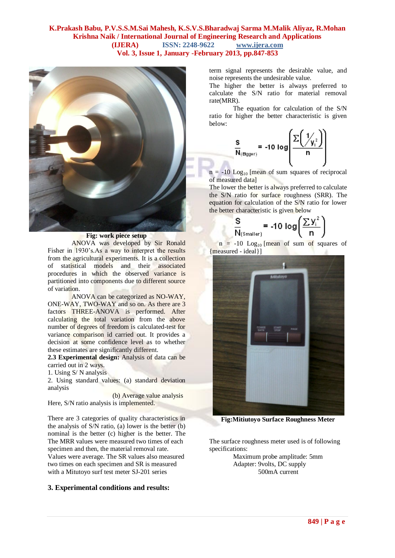

**Fig: work piece setup**

ANOVA was developed by Sir Ronald Fisher in 1930's.As a way to interpret the results from the agricultural experiments. It is a collection of statistical models and their associated procedures in which the observed variance is partitioned into components due to different source of variation.

ANOVA can be categorized as NO-WAY, ONE-WAY, TWO-WAY and so on. As there are 3 factors THREE-ANOVA is performed. After calculating the total variation from the above number of degrees of freedom is calculated-test for variance comparison id carried out. It provides a decision at some confidence level as to whether these estimates are significantly different.

**2.3 Experimental design:** Analysis of data can be carried out in 2 ways.

1. Using S/ N analysis

2. Using standard values: (a) standard deviation analysis

 (b) Average value analysis Here, S/N ratio analysis is implemented.

There are 3 categories of quality characteristics in the analysis of S/N ratio, (a) lower is the better (b) nominal is the better (c) higher is the better. The The MRR values were measured two times of each specimen and then, the material removal rate. Values were average. The SR values also measured two times on each specimen and SR is measured with a Mitutoyo surf test meter SJ-201 series

#### **3. Experimental conditions and results:**

term signal represents the desirable value, and noise represents the undesirable value.

The higher the better is always preferred to calculate the S/N ratio for material removal rate(MRR).

The equation for calculation of the S/N ratio for higher the better characteristic is given below:

$$
\frac{s}{N_{\text{(Biggs1)}}} = -10 \text{ log} \left( \frac{\sum \left( \frac{1}{y_i^2} \right)}{n} \right)
$$

 $n = -10$  Log<sub>10</sub> [mean of sum squares of reciprocal of measured data]

The lower the better is always preferred to calculate the S/N ratio for surface roughness (SRR). The equation for calculation of the S/N ratio for lower the better characteristic is given below

> S  $\overline{\mathsf{N}}$

$$
= -10 \log \left(\frac{\sum y_i^2}{n}\right)
$$

 $n = -10$  Log<sub>10</sub> [mean of sum of squares of {measured - ideal}]



**Fig:Mitiutoyo Surface Roughness Meter**

The surface roughness meter used is of following specifications:

Maximum probe amplitude: 5mm Adapter: 9volts, DC supply 500mA current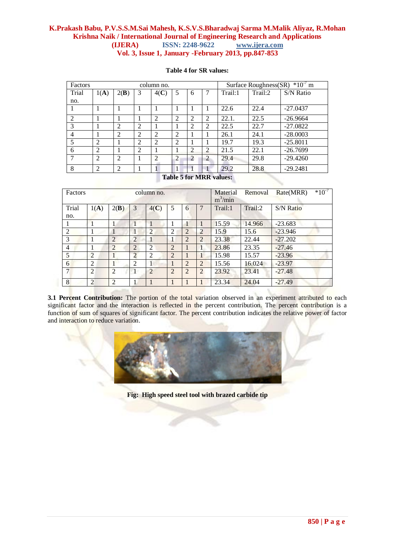| Factors                     |                                                             |      |                | column no.     | $*10^{-7}$ m<br>Surface Roughness(SR) |   |                |                       |         |            |  |  |  |  |
|-----------------------------|-------------------------------------------------------------|------|----------------|----------------|---------------------------------------|---|----------------|-----------------------|---------|------------|--|--|--|--|
| Trial                       | 1(A)                                                        | 2(B) | 3              | 4(C)           | 5                                     | 6 | 7              | Trail:1               | Trail:2 | S/N Ratio  |  |  |  |  |
| no.                         |                                                             |      |                |                |                                       |   |                |                       |         |            |  |  |  |  |
|                             |                                                             |      |                |                |                                       |   |                | 22.6                  | 22.4    | $-27.0437$ |  |  |  |  |
| $\mathcal{D}_{\mathcal{L}}$ |                                                             |      |                | 2              | 2                                     | 2 | $\overline{2}$ | 22.1.                 | 22.5    | $-26.9664$ |  |  |  |  |
| 3                           |                                                             | 2    | 2              |                |                                       | 2 | 2              | 22.5                  | 22.7    | $-27.0822$ |  |  |  |  |
| $\overline{4}$              |                                                             | C    | $\overline{2}$ | $\mathfrak{D}$ | 2                                     |   |                | 26.1                  | 24.1    | $-28.0003$ |  |  |  |  |
| 5                           | $\overline{c}$                                              |      | $\overline{2}$ | 2              | 2                                     |   |                | 19.7                  | 19.3    | $-25.8011$ |  |  |  |  |
| 6                           | 2<br>22.1<br>2<br>2<br>$\overline{2}$<br>$-26.7699$<br>21.5 |      |                |                |                                       |   |                |                       |         |            |  |  |  |  |
| 7                           | 2                                                           | 2    |                | $\mathcal{D}$  | $\overline{2}$                        | 2 | $\overline{c}$ | 29.4                  | 29.8    | $-29.4260$ |  |  |  |  |
| 8                           | $\overline{2}$                                              | 2    |                |                |                                       |   |                | 29.2                  | 28.8    | $-29.2481$ |  |  |  |  |
|                             |                                                             |      |                |                |                                       |   |                | $T-1.1.5.2$ MDD $$ $$ |         |            |  |  |  |  |

#### **Table 4 for SR values:**

#### **Table 5 for MRR values:**

| Factors        |                |                |                | column no.     |                |                |                | Material<br>$m^3/m$ in | Removal | $*10^{-7}$<br>Rate(MRR) |
|----------------|----------------|----------------|----------------|----------------|----------------|----------------|----------------|------------------------|---------|-------------------------|
| Trial<br>no.   | 1(A)           | 2(B)           | 3              | 4(C)           | 5              | 6              | 7              | Trail:1                | Trail:2 | S/N Ratio               |
|                |                | 1              |                |                | T              | 1              | 1              | 15.59                  | 14.966  | $-23.683$               |
| $\overline{2}$ |                | 1              | 1              | $\overline{2}$ | 2              | $\overline{2}$ | $\overline{2}$ | 15.9                   | 15.6    | $-23.946$               |
| 3              |                | $\overline{2}$ | $\overline{2}$ | 1              | 1              | $\overline{2}$ | $\overline{2}$ | 23.38                  | 22.44   | $-27.202$               |
| $\overline{4}$ |                | $\overline{2}$ | $\overline{2}$ | $\overline{2}$ | $\overline{2}$ | 1              | 1              | 23.86                  | 23.35   | $-27.46$                |
| 5              | $\overline{2}$ |                | $\overline{2}$ | $\overline{2}$ | $\overline{2}$ | 1              | 1              | 15.98                  | 15.57   | $-23.96$                |
| 6              | 2              | 1              | 2              | $\mathbf{1}$   | 1              | $\overline{2}$ | $\overline{2}$ | 15.56                  | 16.024  | $-23.97$                |
| 7              | $\overline{2}$ | 2              | $\mathbf{1}$   | $\overline{2}$ | $\overline{2}$ | $\overline{2}$ | 2              | 23.92                  | 23.41   | $-27.48$                |
| 8              | $\overline{2}$ | 2              |                |                |                | 1              | 1              | 23.34                  | 24.04   | $-27.49$                |

**3.1 Percent Contribution:** The portion of the total variation observed in an experiment attributed to each significant factor and the interaction is reflected in the percent contribution. The percent contribution is a function of sum of squares of significant factor. The percent contribution indicates the relative power of factor and interaction to reduce variation.



**Fig: High speed steel tool with brazed carbide tip**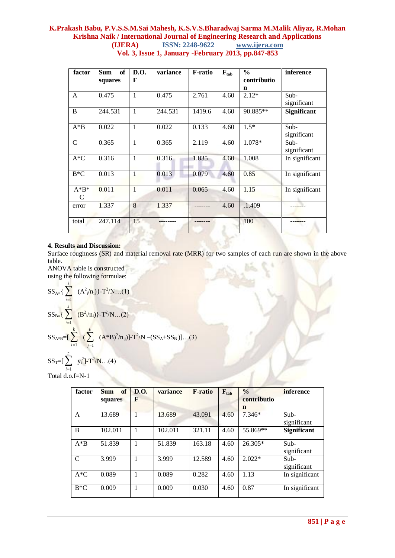| factor       | of<br><b>Sum</b><br>squares | D.O.<br>F    | variance | <b>F-ratio</b> | $F_{tab}$ | $\frac{0}{0}$<br>contributio | inference           |
|--------------|-----------------------------|--------------|----------|----------------|-----------|------------------------------|---------------------|
| A            | 0.475                       | 1            | 0.475    | 2.761          | 4.60      | n<br>$2.12*$                 | Sub-<br>significant |
| $\, {\bf B}$ | 244.531                     | 1            | 244.531  | 1419.6         | 4.60      | 90.885**                     | <b>Significant</b>  |
| $A^*B$       | 0.022                       | 1            | 0.022    | 0.133          | 4.60      | $1.5*$                       | Sub-<br>significant |
| $\mathbf C$  | 0.365                       | 1            | 0.365    | 2.119          | 4.60      | 1.078*                       | Sub-<br>significant |
| $A*C$        | 0.316                       | 1            | 0.316    | 1.835          | 4.60      | 1.008                        | In significant      |
| $B*C$        | 0.013                       | $\mathbf{1}$ | 0.013    | 0.079          | 4.60      | 0.85                         | In significant      |
| $A*B^*$<br>C | 0.011                       | 1            | 0.011    | 0.065          | 4.60      | 1.15                         | In significant      |
| error        | 1.337                       | 8            | 1.337    |                | 4.60      | .1.409                       |                     |
| total        | 247.114                     | 15           |          |                |           | 100                          |                     |

## **4. Results and Discussion:**

Surface roughness (SR) and material removal rate (MRR) for two samples of each run are shown in the above table.

ANOVA table is constructed using the following formulae: *k*

$$
SS_{A=}\left\{\sum_{i=1}^{k} (A^{2}{}_{i}/n_{i})\right\} - T^{2}/N...(1)
$$
  
\n
$$
SS_{B=}\left\{\sum_{i=1}^{k} (B^{2}{}_{i}/n_{i})\right\} - T^{2}/N...(2)
$$
  
\n
$$
SS_{A*B} = \sum_{i=1}^{k} \sum_{j=1}^{k} (A*B)^{2}/n_{ij}) - T^{2}/N - (SS_{A}+SS_{B})\dots(3)
$$

$$
SS_T = \left[\sum_{i=1}^{n} y_i^2\right] - T^2/N \dots (4)
$$
  
Total d.e.f-N 1

Total d.o.f=N-1

| factor | of<br><b>Sum</b> | <b>D.O.</b><br>F | variance | <b>F-ratio</b> | $F_{tab}$ | $\frac{0}{0}$<br>contributio | <i>inference</i>      |
|--------|------------------|------------------|----------|----------------|-----------|------------------------------|-----------------------|
|        | squares          |                  |          |                |           | n                            |                       |
| A      | 13.689           | 1                | 13.689   | 43.091         | 4.60      | $7.346*$                     | Sub-<br>significant   |
| B      | 102.011          |                  | 102.011  | 321.11         | 4.60      | 55.869**                     | <b>Significant</b>    |
| $A*B$  | 51.839           |                  | 51.839   | 163.18         | 4.60      | 26.305*                      | $Sub-$<br>significant |
| C      | 3.999            |                  | 3.999    | 12.589         | 4.60      | $2.022*$                     | $Sub-$<br>significant |
| $A*C$  | 0.089            | ш                | 0.089    | 0.282          | 4.60      | 1.13                         | In significant        |
| $B*C$  | 0.009            | J.               | 0.009    | 0.030          | 4.60      | 0.87                         | In significant        |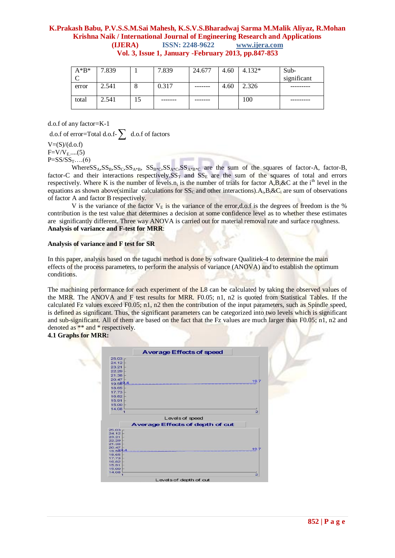| $A^*B^*$ | 7.839 |    | 7.839   | 24.677  | 4.60 | $4.132*$ | Sub-        |
|----------|-------|----|---------|---------|------|----------|-------------|
|          |       |    |         |         |      |          | significant |
| error    | 2.541 |    | 0.317   | ------- | 4.60 | 2.326    |             |
|          |       |    |         |         |      |          |             |
| total    | 2.541 | 15 | ------- |         |      | 100      |             |
|          |       |    |         |         |      |          |             |

d.o.f of any factor=K-1

d.o.f of error=Total d.o.f- $\sum$  d.o.f of factors

 $V=(S)/(d.o.f)$  $F = V/V_E$ .....(5)

 $P = SS/SS_T$ ...(6)

Where  $SS_A$ ,  $SS_B$ ,  $SS_C$ ,  $SS_{A*B}$ ,  $SS_{B*C}$ ,  $SS_{A*B}$ ,  $SS_{A*B}$  are the sum of the squares of factor-A, factor-B, factor-C and their interactions respectively. $SS_T$  and  $SS_E$  are the sum of the squares of total and errors respectively. Where K is the number of levels.n<sub>i</sub> is the number of trials for factor A,B,&C at the i<sup>th</sup> level in the equations as shown above(similar calculations for SS<sub>C</sub> and other interactions). A<sub>i</sub>, B<sub>i</sub>&C<sub>i</sub> are sum of observations of factor A and factor B respectively.

V is the variance of the factor  $V_E$  is the variance of the error,d.o.f is the degrees of freedom is the % contribution is the test value that determines a decision at some confidence level as to whether these estimates are significantly different. Three way ANOVA is carried out for material removal rate and surface roughness. **Analysis of variance and F-test for MRR**:

#### **Analysis of variance and F test for SR**

In this paper, analysis based on the taguchi method is done by software Qualitiek-4 to determine the main effects of the process parameters, to perform the analysis of variance (ANOVA) and to establish the optimum conditions.

The machining performance for each experiment of the L8 can be calculated by taking the observed values of the MRR. The ANOVA and F test results for MRR. F0.05; n1, n2 is quoted from Statistical Tables. If the calculated Fz values exceed F0.05; n1, n2 then the contribution of the input parameters, such as Spindle speed, is defined as significant. Thus, the significant parameters can be categorized into two levels which is significant and sub-significant. All of them are based on the fact that the Fz values are much larger than F0.05; n1, n2 and denoted as \*\* and \* respectively.

#### **4.1 Graphs for MRR:**